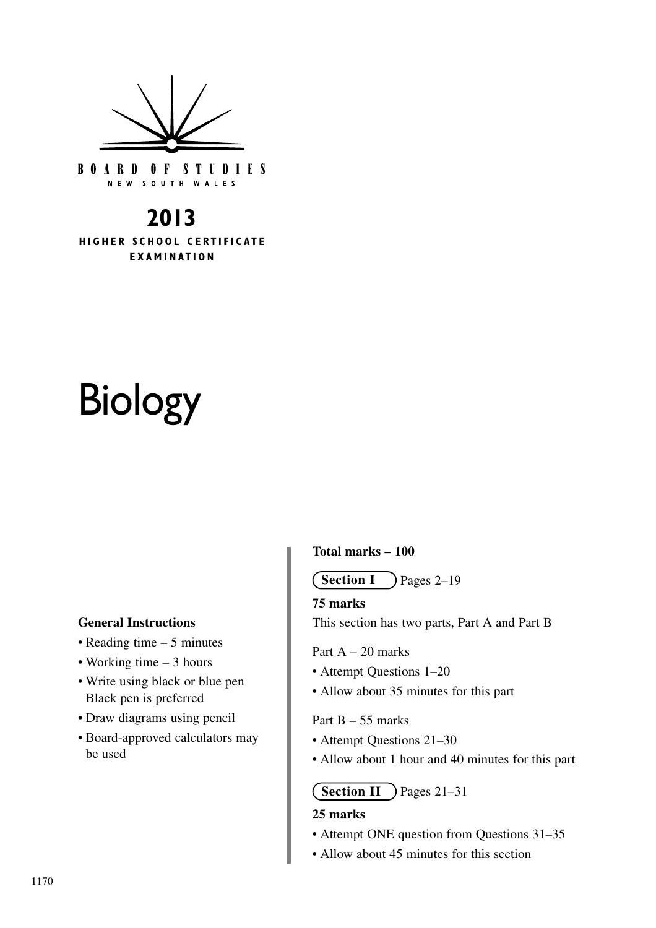<span id="page-0-0"></span>

**BOARD OF STUDIES** NEW SOUTH WALES

# **2013**

**HIGHER SCHOOL CERTIFICATE EXAMINATION** 

# Biology

# **General Instructions**

- Reading time 5 minutes
- Working time 3 hours
- Write using black or blue pen Black pen is preferred
- Draw diagrams using pencil
- Board-approved calculators may be used

# **Total marks – 100**

**Section I** Pages 2–19

**75 marks** 

This section has two parts, Part A and Part B

Part  $A - 20$  marks

- Attempt Questions 1–20
- Allow about 35 minutes for this part

Part  $B - 55$  marks

- Attempt Questions 21–30
- Allow about 1 hour and 40 minutes for this part

# **Section II** Pages 21–31

#### **25 marks**

- Attempt ONE question from Questions 31–35
- Allow about 45 minutes for this section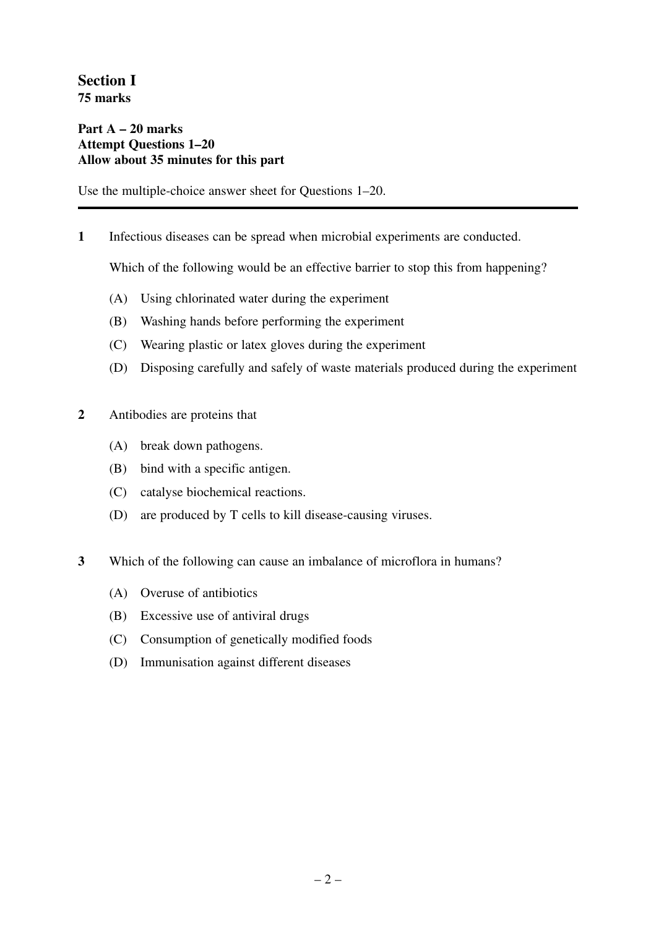# **Section I 75 marks**

#### **Part A – 20 marks Attempt Questions 1–20 Allow about 35 minutes for this part**

Use the multiple-choice answer sheet for Questions 1–20.

**1** Infectious diseases can be spread when microbial experiments are conducted.

Which of the following would be an effective barrier to stop this from happening?

- (A) Using chlorinated water during the experiment
- (B) Washing hands before performing the experiment
- (C) Wearing plastic or latex gloves during the experiment
- (D) Disposing carefully and safely of waste materials produced during the experiment
- **2** Antibodies are proteins that
	- (A) break down pathogens.
	- (B) bind with a specific antigen.
	- (C) catalyse biochemical reactions.
	- (D) are produced by T cells to kill disease-causing viruses.
- **3** Which of the following can cause an imbalance of microflora in humans?
	- (A) Overuse of antibiotics
	- (B) Excessive use of antiviral drugs
	- (C) Consumption of genetically modified foods
	- (D) Immunisation against different diseases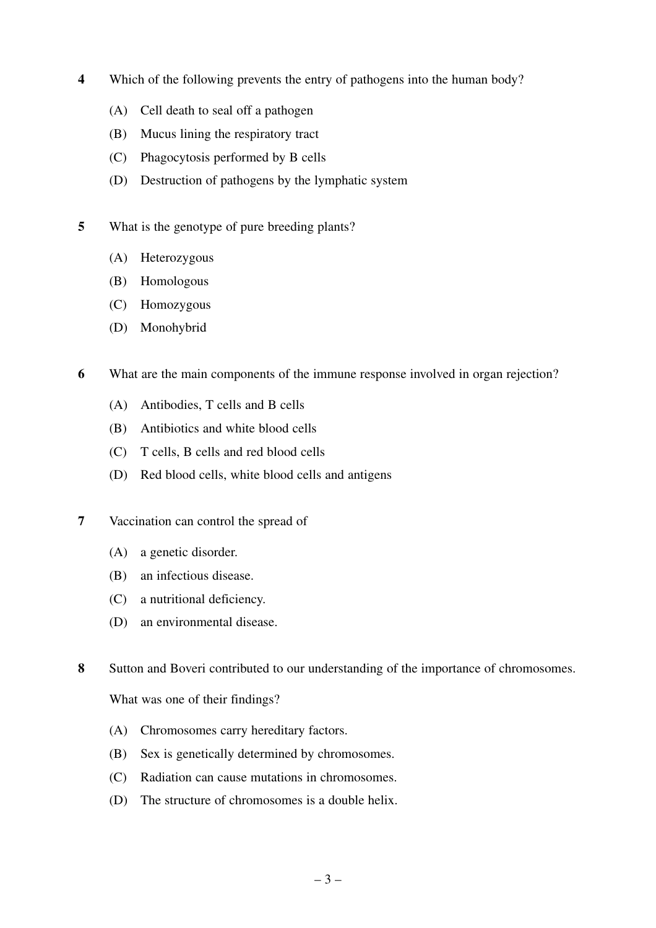- **4** Which of the following prevents the entry of pathogens into the human body?
	- (A) Cell death to seal off a pathogen
	- (B) Mucus lining the respiratory tract
	- (C) Phagocytosis performed by B cells
	- (D) Destruction of pathogens by the lymphatic system
- **5** What is the genotype of pure breeding plants?
	- (A) Heterozygous
	- (B) Homologous
	- (C) Homozygous
	- (D) Monohybrid
- **6** What are the main components of the immune response involved in organ rejection?
	- (A) Antibodies, T cells and B cells
	- (B) Antibiotics and white blood cells
	- (C) T cells, B cells and red blood cells
	- (D) Red blood cells, white blood cells and antigens
- **7** Vaccination can control the spread of
	- (A) a genetic disorder.
	- (B) an infectious disease.
	- (C) a nutritional deficiency.
	- (D) an environmental disease.
- **8** Sutton and Boveri contributed to our understanding of the importance of chromosomes.

What was one of their findings?

- (A) Chromosomes carry hereditary factors.
- (B) Sex is genetically determined by chromosomes.
- (C) Radiation can cause mutations in chromosomes.
- (D) The structure of chromosomes is a double helix.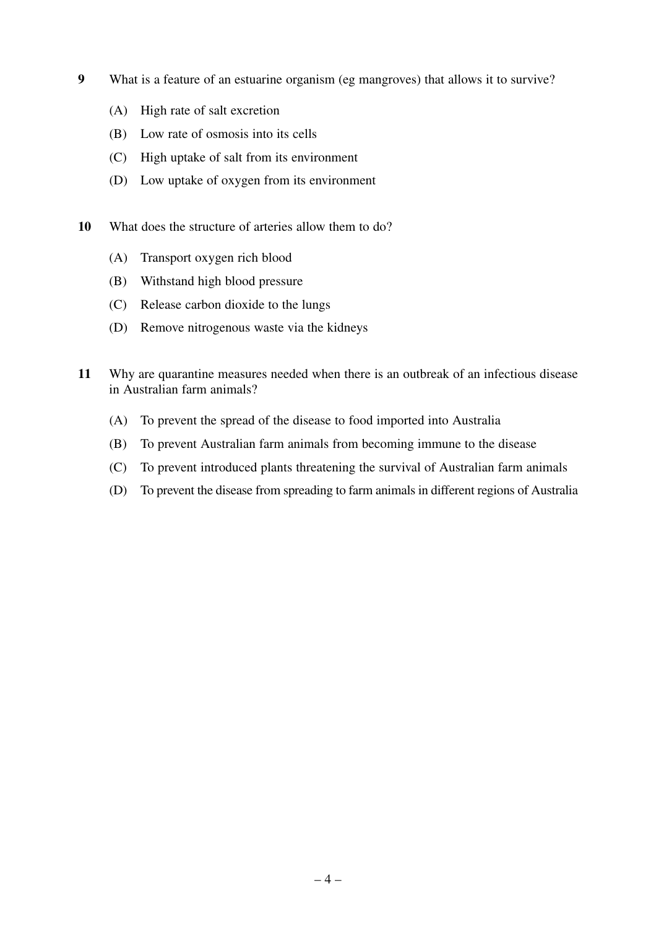- **9** What is a feature of an estuarine organism (eg mangroves) that allows it to survive?
	- (A) High rate of salt excretion
	- (B) Low rate of osmosis into its cells
	- (C) High uptake of salt from its environment
	- (D) Low uptake of oxygen from its environment
- **10**  What does the structure of arteries allow them to do?
	- (A) Transport oxygen rich blood
	- (B) Withstand high blood pressure
	- (C) Release carbon dioxide to the lungs
	- (D) Remove nitrogenous waste via the kidneys
- **11** Why are quarantine measures needed when there is an outbreak of an infectious disease in Australian farm animals?
	- (A) To prevent the spread of the disease to food imported into Australia
	- (B) To prevent Australian farm animals from becoming immune to the disease
	- (C) To prevent introduced plants threatening the survival of Australian farm animals
	- (D) To prevent the disease from spreading to farm animals in different regions of Australia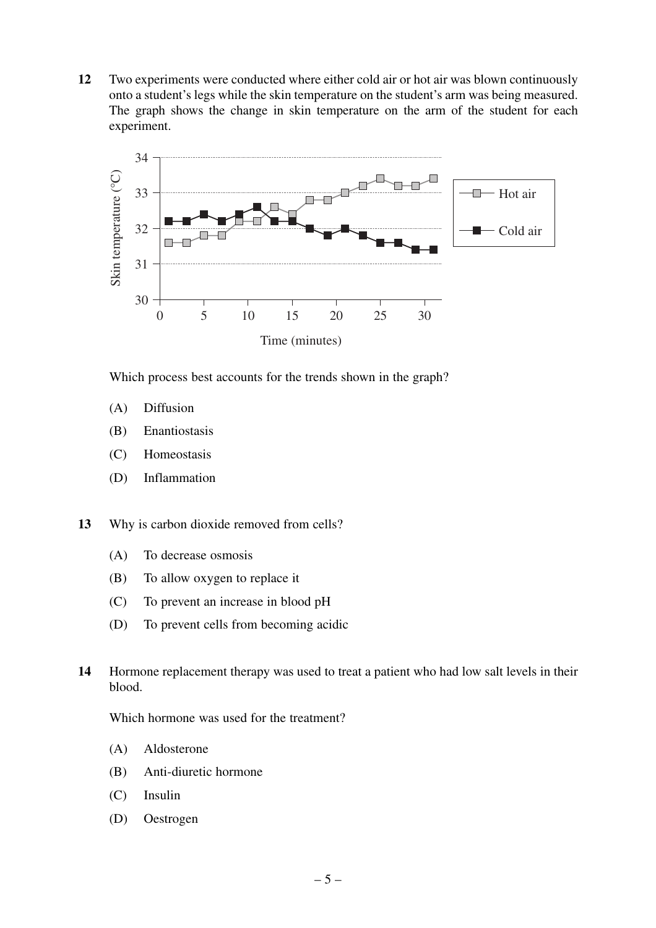**12** Two experiments were conducted where either cold air or hot air was blown continuously onto a student's legs while the skin temperature on the student's arm was being measured. The graph shows the change in skin temperature on the arm of the student for each experiment.



Which process best accounts for the trends shown in the graph?

- (A) Diffusion
- (B) Enantiostasis
- (C) Homeostasis
- (D) Inflammation

**13** • Why is carbon dioxide removed from cells?

- (A) To decrease osmosis
- (B) To allow oxygen to replace it
- (C) To prevent an increase in blood pH
- (D) To prevent cells from becoming acidic
- **14** Hormone replacement therapy was used to treat a patient who had low salt levels in their blood.

Which hormone was used for the treatment?

- (A) Aldosterone
- (B) Anti-diuretic hormone
- (C) Insulin
- (D) Oestrogen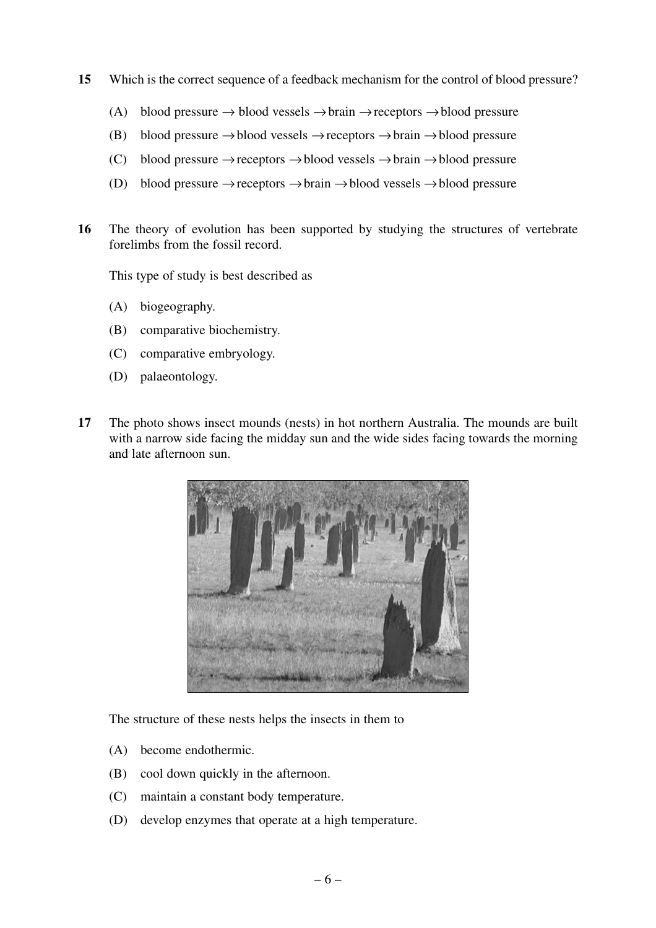- **15** Which is the correct sequence of a feedback mechanism for the control of blood pressure?
	- (A) blood pressure  $\rightarrow$  blood vessels  $\rightarrow$  brain  $\rightarrow$  receptors  $\rightarrow$  blood pressure
	- (B) blood pressure  $\rightarrow$  blood vessels  $\rightarrow$  receptors  $\rightarrow$  brain  $\rightarrow$  blood pressure
	- (C) blood pressure  $\rightarrow$  receptors  $\rightarrow$  blood vessels  $\rightarrow$  brain  $\rightarrow$  blood pressure
	- (D) blood pressure  $\rightarrow$  receptors  $\rightarrow$  brain  $\rightarrow$  blood vessels  $\rightarrow$  blood pressure
- **16** The theory of evolution has been supported by studying the structures of vertebrate forelimbs from the fossil record.

This type of study is best described as

- (A) biogeography.
- (B) comparative biochemistry.
- (C) comparative embryology.
- (D) palaeontology.
- **17** The photo shows insect mounds (nests) in hot northern Australia. The mounds are built with a narrow side facing the midday sun and the wide sides facing towards the morning and late afternoon sun.



The structure of these nests helps the insects in them to

- (A) become endothermic.
- (B) cool down quickly in the afternoon.
- (C) maintain a constant body temperature.
- (D) develop enzymes that operate at a high temperature.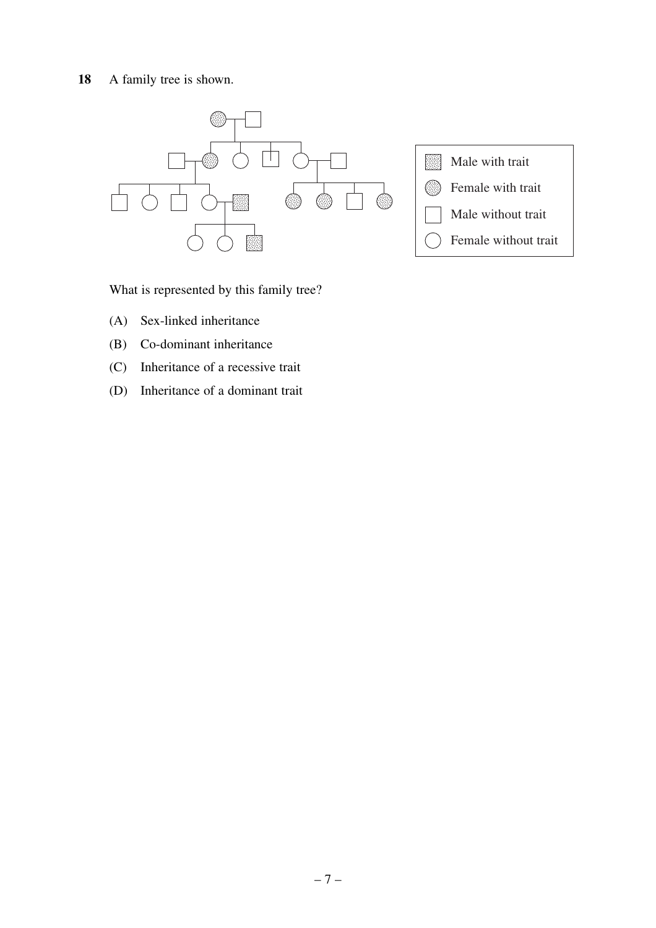

What is represented by this family tree?

- (A) Sex-linked inheritance
- (B) Co-dominant inheritance
- (C) Inheritance of a recessive trait
- (D) Inheritance of a dominant trait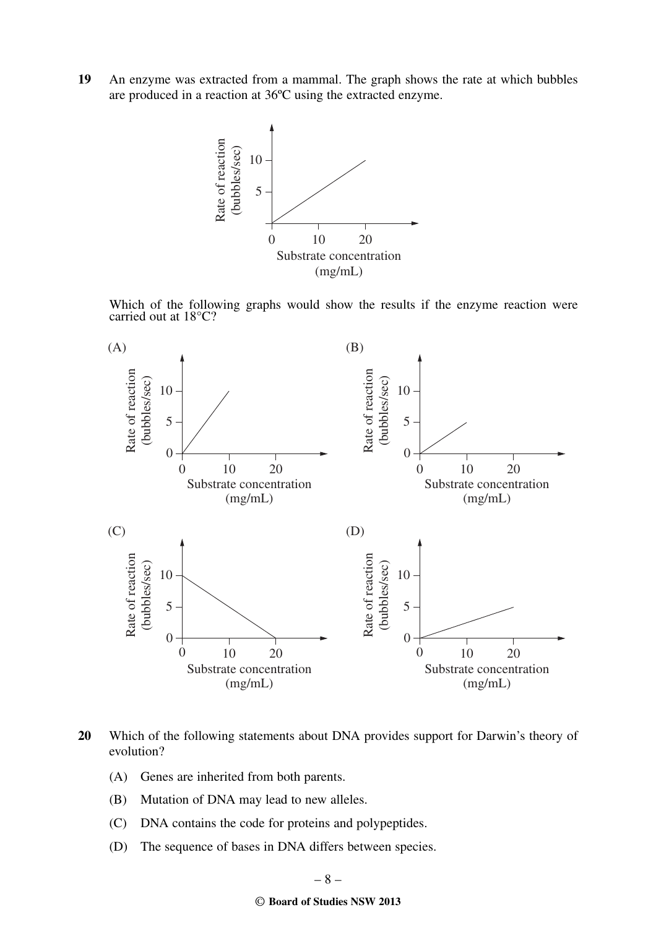**19** An enzyme was extracted from a mammal. The graph shows the rate at which bubbles are produced in a reaction at 36ºC using the extracted enzyme.







- **20** Which of the following statements about DNA provides support for Darwin's theory of evolution?
	- (A) Genes are inherited from both parents.
	- (B) Mutation of DNA may lead to new alleles.
	- (C) DNA contains the code for proteins and polypeptides.
	- (D) The sequence of bases in DNA differs between species.

#### © **Board of Studies NSW 2013**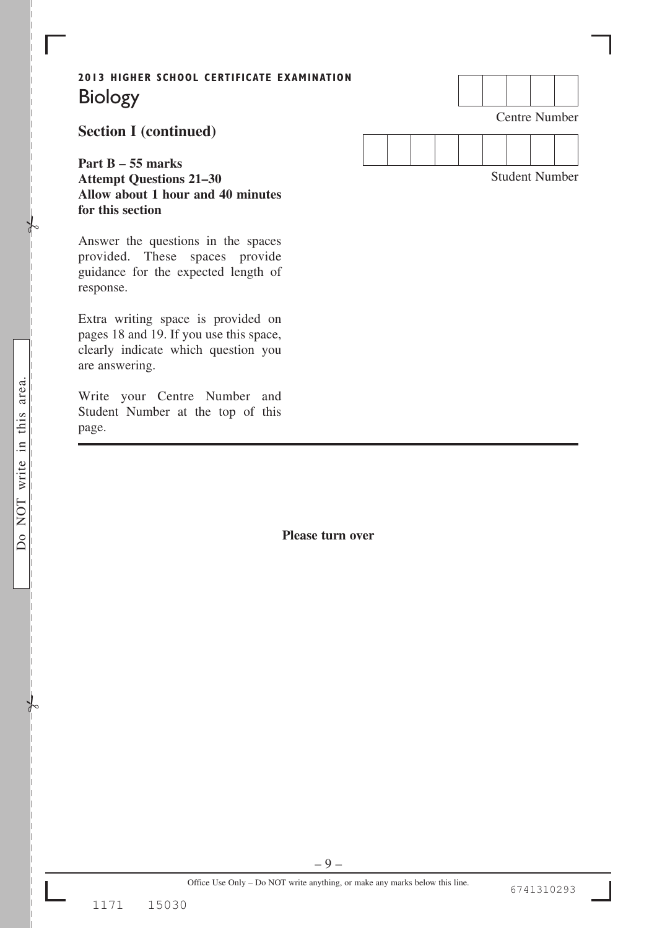# **2013 HIGHER SCHOOL CERTIFICATE EXAMINATION** Biology



# **Section I (continued)**

**Part B – 55 marks Attempt Questions 21–30 Allow about 1 hour and 40 minutes for this section**

Answer the questions in the spaces provided. These spaces provide guidance for the expected length of response.

Extra writing space is provided on pages 18 and 19. If you use this space, clearly indicate which question you are answering.

Write your Centre Number and Student Number at the top of this page.

**Please turn over**





Centre Number

area.

 $\frac{1}{6}$ 

 $\frac{1}{6}$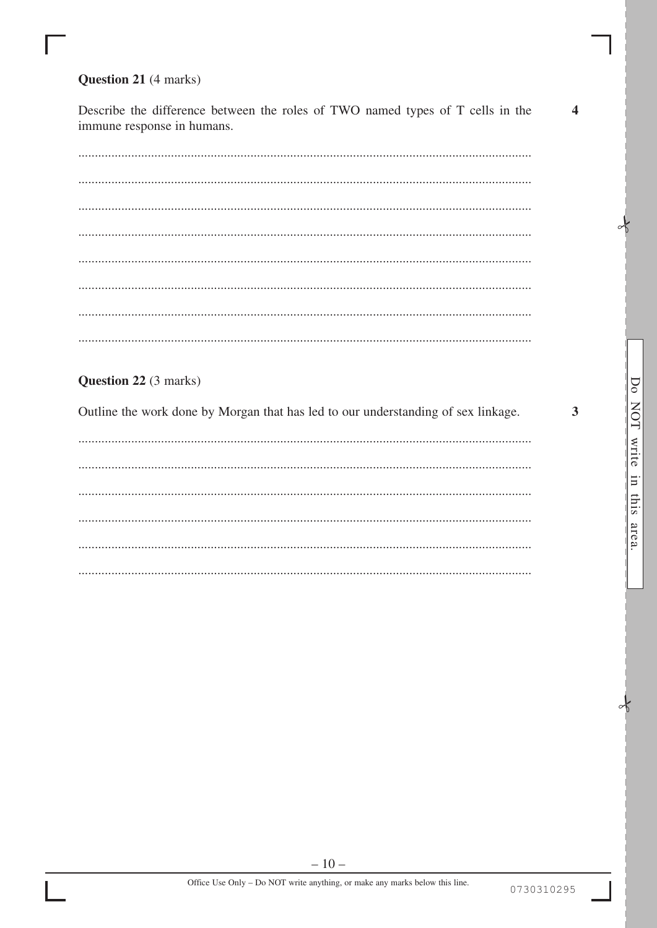## Question 21 (4 marks)

Describe the difference between the roles of TWO named types of T cells in the immune response in humans.

# Question 22 (3 marks)

Outline the work done by Morgan that has led to our understanding of sex linkage.

3

◢

 $-10-$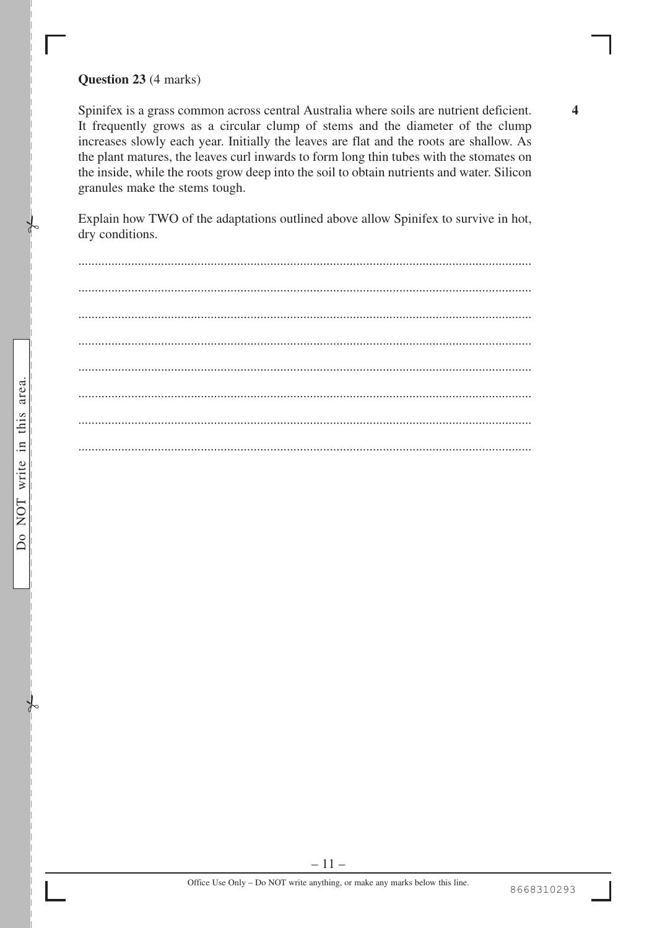#### **Question 23** (4 marks)

Spinifex is a grass common across central Australia where soils are nutrient deficient. It frequently grows as a circular clump of stems and the diameter of the clump increases slowly each year. Initially the leaves are flat and the roots are shallow. As the plant matures, the leaves curl inwards to form long thin tubes with the stomates on the inside, while the roots grow deep into the soil to obtain nutrients and water. Silicon granules make the stems tough.

Explain how TWO of the adaptations outlined above allow Spinifex to survive in hot, dry conditions.

 $\frac{1}{6}$ 

 $\frac{1}{6}$ 

**4**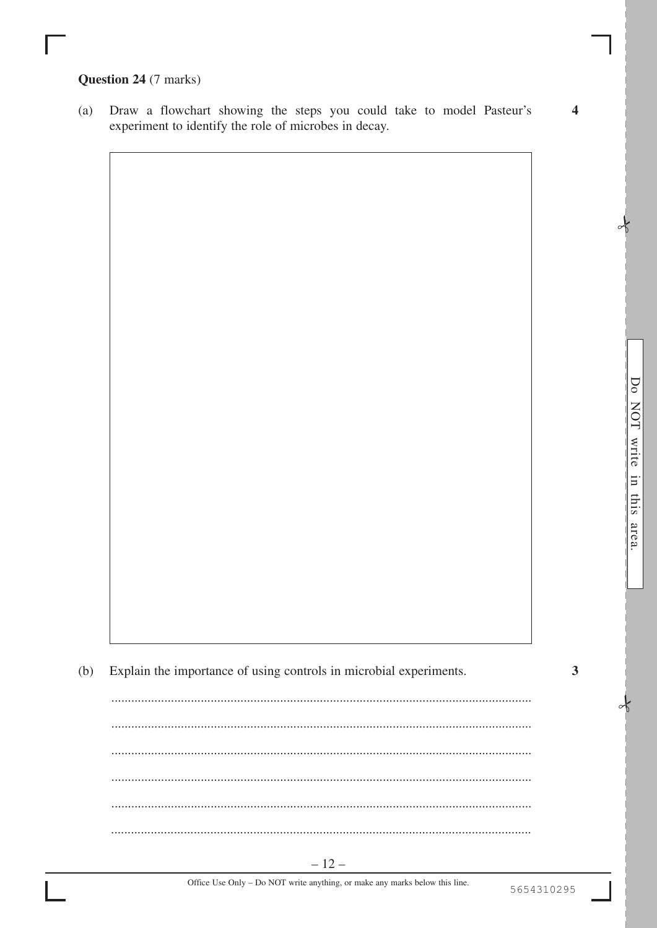# Question 24 (7 marks)

Draw a flowchart showing the steps you could take to model Pasteur's  $(a)$ experiment to identify the role of microbes in decay.

|  |  | Explain the importance of using controls in microbial experiments. |
|--|--|--------------------------------------------------------------------|
|  |  |                                                                    |
|  |  |                                                                    |
|  |  |                                                                    |
|  |  |                                                                    |
|  |  |                                                                    |
|  |  |                                                                    |
|  |  |                                                                    |
|  |  |                                                                    |

 $\overline{\mathbf{3}}$ 

 $\sim$ 

 $\overline{\mathbf{4}}$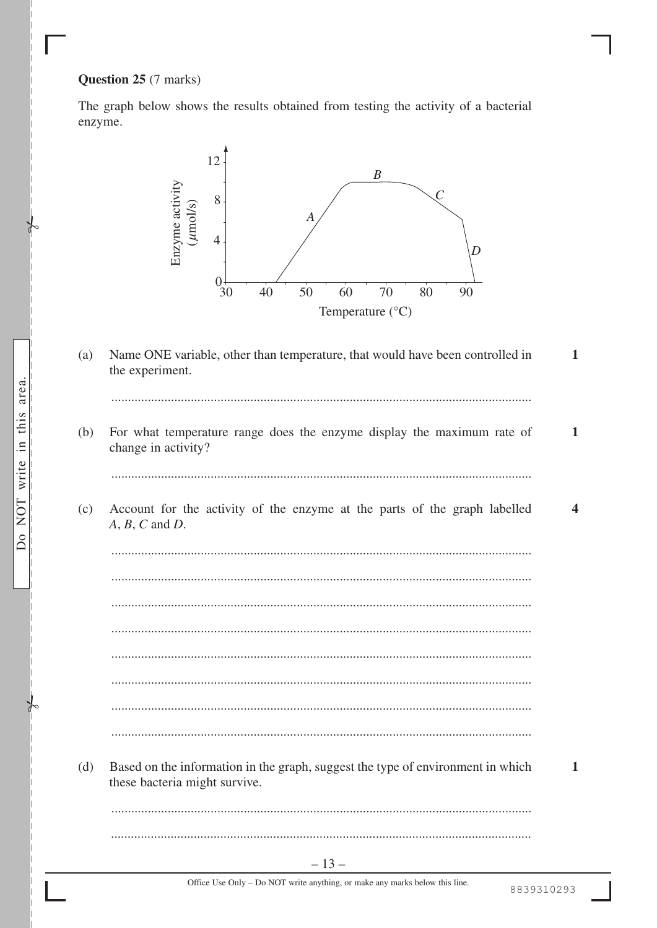#### Question 25 (7 marks)

The graph below shows the results obtained from testing the activity of a bacterial enzyme.



 $(a)$ Name ONE variable, other than temperature, that would have been controlled in  $\mathbf{1}$ the experiment. For what temperature range does the enzyme display the maximum rate of  $\mathbf{1}$  $(b)$ change in activity? Account for the activity of the enzyme at the parts of the graph labelled  $\overline{\mathbf{4}}$  $(c)$  $A, B, C$  and  $D$ .  $(d)$ Based on the information in the graph, suggest the type of environment in which  $\mathbf{1}$ these bacteria might survive.  $-13-$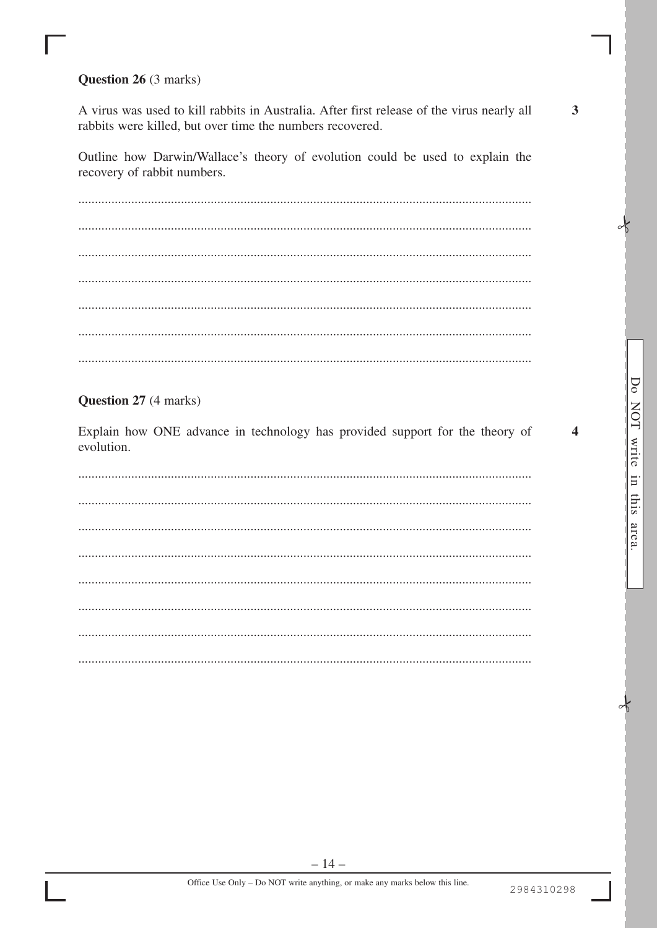#### Question 26 (3 marks)

A virus was used to kill rabbits in Australia. After first release of the virus nearly all rabbits were killed, but over time the numbers recovered.

Outline how Darwin/Wallace's theory of evolution could be used to explain the recovery of rabbit numbers.

# Question 27 (4 marks)

Explain how ONE advance in technology has provided support for the theory of evolution.

 3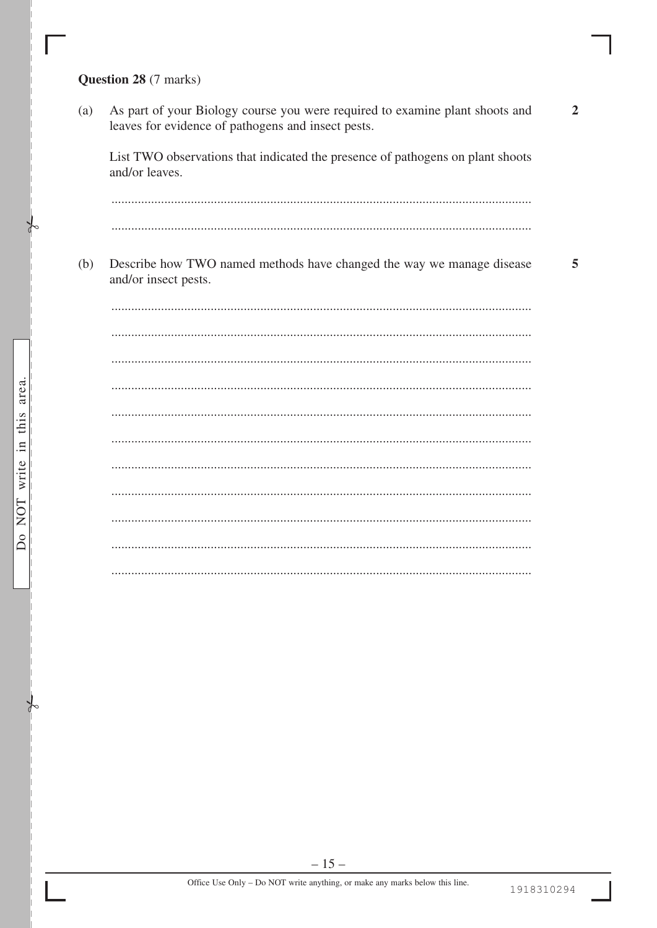#### Question 28 (7 marks)

As part of your Biology course you were required to examine plant shoots and  $\overline{2}$  $(a)$ leaves for evidence of pathogens and insect pests. List TWO observations that indicated the presence of pathogens on plant shoots and/or leaves.  $(b)$ Describe how TWO named methods have changed the way we manage disease  $\overline{5}$ and/or insect pests.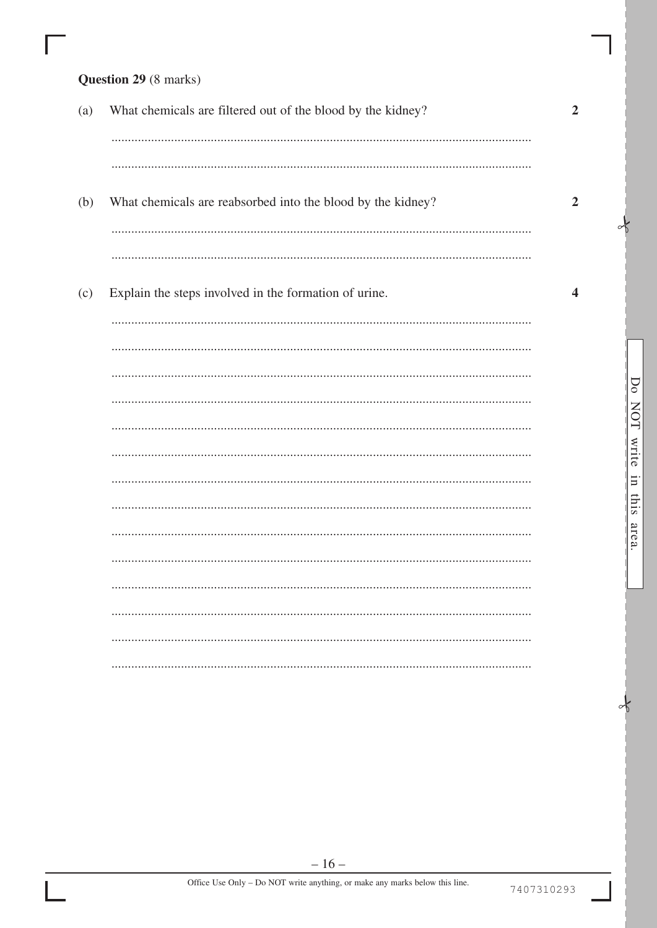# Question 29 (8 marks)

| (a) | What chemicals are filtered out of the blood by the kidney? | $\overline{2}$ |
|-----|-------------------------------------------------------------|----------------|
|     |                                                             |                |
|     |                                                             |                |
| (b) | What chemicals are reabsorbed into the blood by the kidney? | $\overline{2}$ |
|     |                                                             |                |
|     |                                                             |                |
| (c) | Explain the steps involved in the formation of urine.       | 4              |
|     |                                                             |                |
|     |                                                             |                |
|     |                                                             |                |
|     |                                                             |                |
|     |                                                             |                |
|     |                                                             |                |
|     |                                                             |                |
|     |                                                             |                |
|     |                                                             |                |
|     |                                                             |                |
|     |                                                             |                |
|     |                                                             |                |
|     |                                                             |                |

 $\alpha$ 

 $\sim$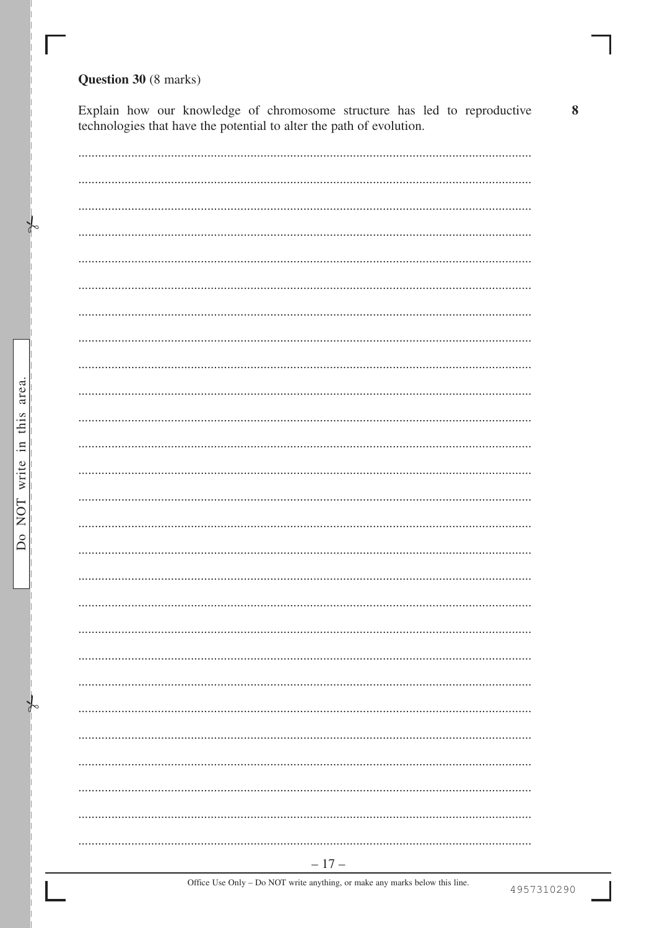#### Question 30 (8 marks)

Explain how our knowledge of chromosome structure has led to reproductive technologies that have the potential to alter the path of evolution.

NOT write in this area.  $\overline{\mathrm{D}}$ 

↳

8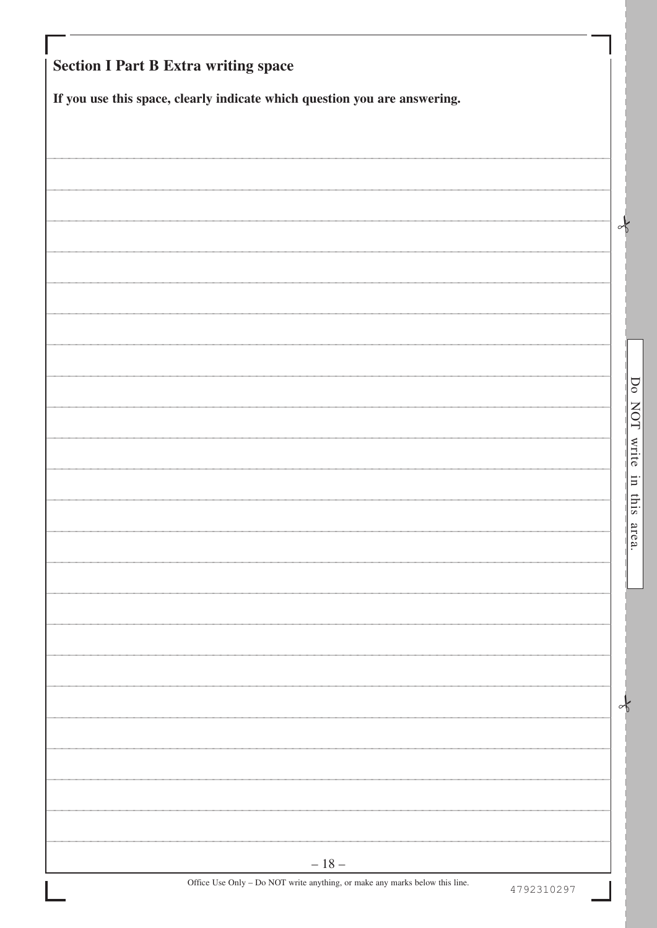| <b>Section I Part B Extra writing space</b>                                           |            |                      |
|---------------------------------------------------------------------------------------|------------|----------------------|
| If you use this space, clearly indicate which question you are answering.             |            |                      |
|                                                                                       |            |                      |
|                                                                                       |            |                      |
|                                                                                       |            |                      |
|                                                                                       |            |                      |
|                                                                                       |            | $\sim$               |
|                                                                                       |            |                      |
|                                                                                       |            |                      |
|                                                                                       |            |                      |
|                                                                                       |            |                      |
|                                                                                       |            | D <sub>0</sub>       |
|                                                                                       |            |                      |
|                                                                                       |            | <b>NOT</b>           |
|                                                                                       |            | write                |
|                                                                                       |            | $\rm \overline{\mu}$ |
|                                                                                       |            | this                 |
|                                                                                       |            | area.                |
|                                                                                       |            |                      |
|                                                                                       |            |                      |
|                                                                                       |            |                      |
|                                                                                       |            |                      |
|                                                                                       |            | $\sim$               |
|                                                                                       |            |                      |
|                                                                                       |            |                      |
|                                                                                       |            |                      |
|                                                                                       |            |                      |
|                                                                                       |            |                      |
| $-18-$<br>Office Use Only - Do NOT write anything, or make any marks below this line. |            |                      |
|                                                                                       | 4792310297 |                      |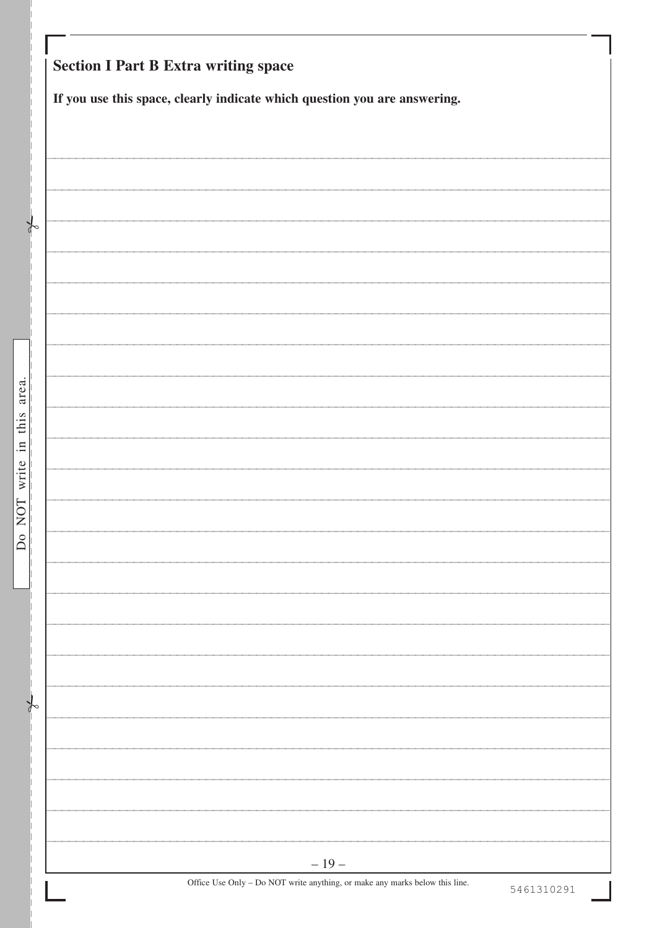| If you use this space, clearly indicate which question you are answering. |  |
|---------------------------------------------------------------------------|--|
|                                                                           |  |
|                                                                           |  |
|                                                                           |  |
|                                                                           |  |
|                                                                           |  |
|                                                                           |  |
|                                                                           |  |
|                                                                           |  |
|                                                                           |  |
|                                                                           |  |
|                                                                           |  |
|                                                                           |  |
|                                                                           |  |
|                                                                           |  |
|                                                                           |  |
|                                                                           |  |
|                                                                           |  |
|                                                                           |  |
|                                                                           |  |
|                                                                           |  |
|                                                                           |  |
|                                                                           |  |
|                                                                           |  |
|                                                                           |  |
|                                                                           |  |
|                                                                           |  |
|                                                                           |  |
|                                                                           |  |
|                                                                           |  |
|                                                                           |  |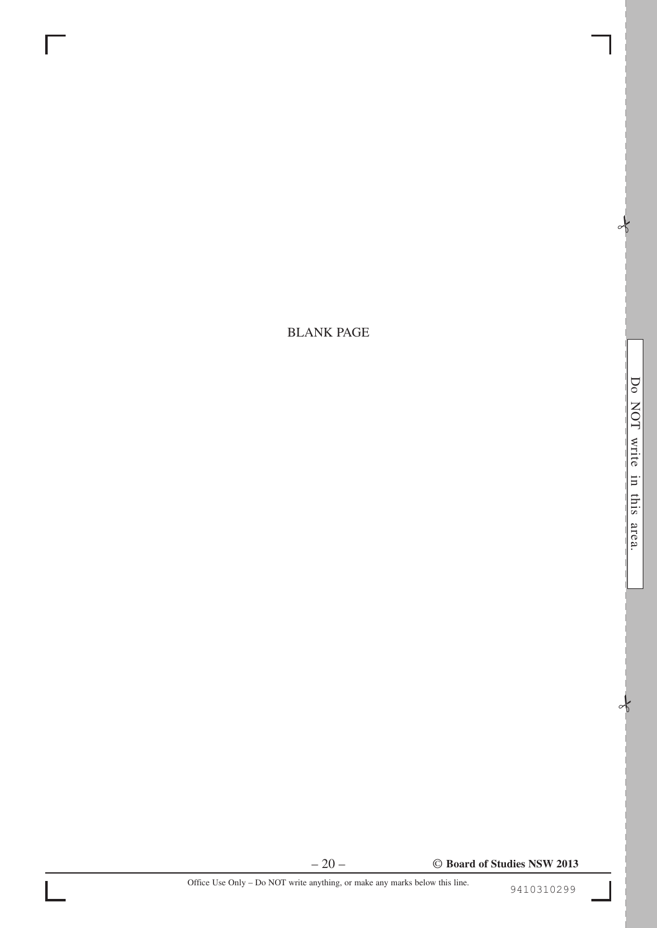BLANK PAGE

 $\sim$ 

 $\sigma_{\rm b}$ 

– 20 – © **Board of Studies NSW 2013**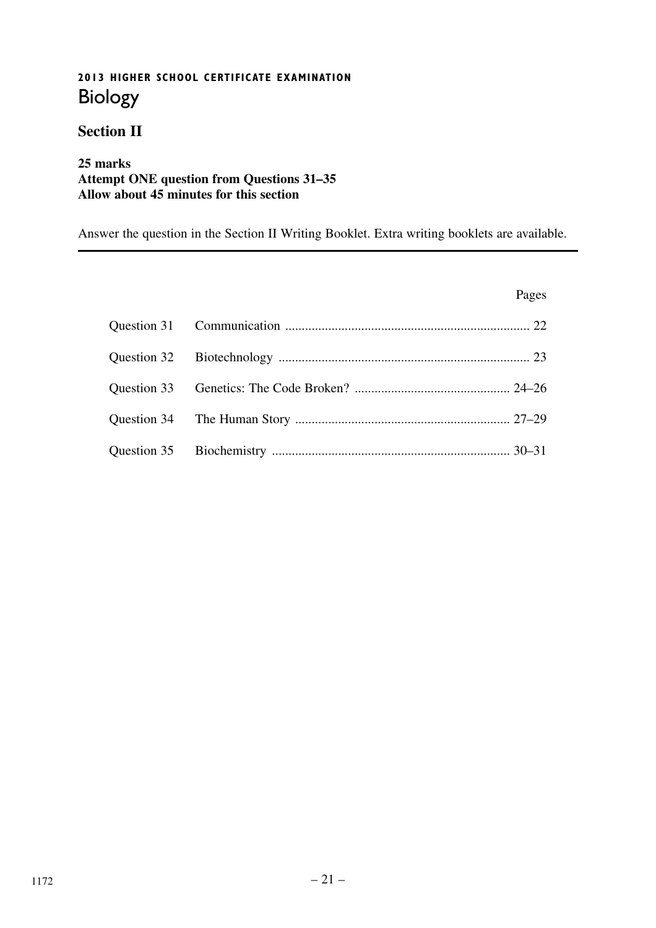# **2013 HIGHER SCHOOL CERTIFICATE EXAMINATION**  Biology

# **Section II**

# **25 marks Attempt ONE question from Questions 31–35 Allow about 45 minutes for this section**

Answer the question in the Section II Writing Booklet. Extra writing booklets are available.

| Pages |
|-------|
|       |
|       |
|       |
|       |
|       |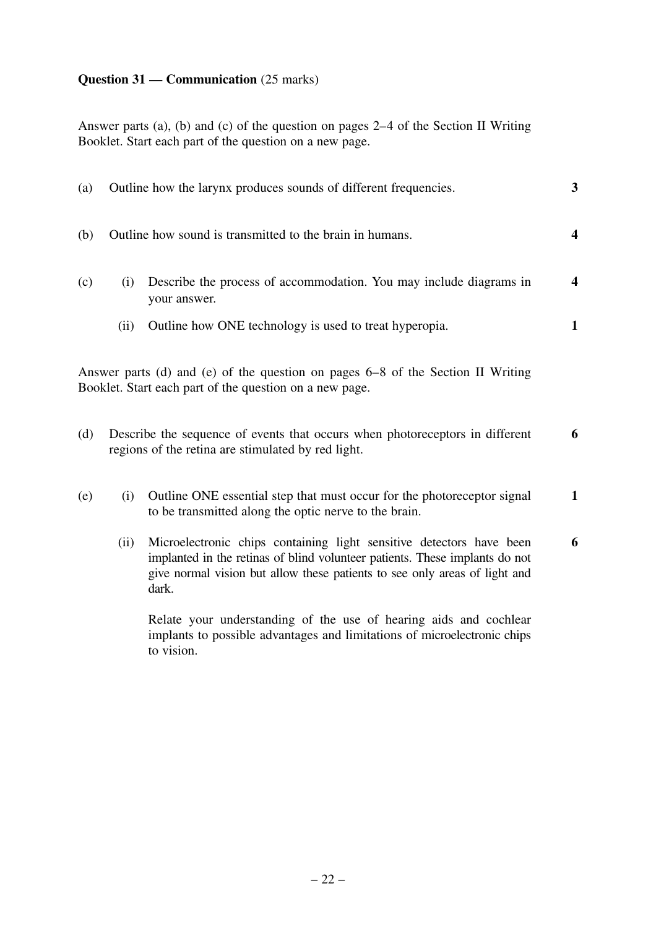# **Question 31 — Communication** (25 marks)

Answer parts (a), (b) and (c) of the question on pages 2–4 of the Section II Writing Booklet. Start each part of the question on a new page.

| (a) |      | Outline how the larynx produces sounds of different frequencies.                                                                                                                                                                           | $\mathbf{3}$            |
|-----|------|--------------------------------------------------------------------------------------------------------------------------------------------------------------------------------------------------------------------------------------------|-------------------------|
| (b) |      | Outline how sound is transmitted to the brain in humans.                                                                                                                                                                                   | $\overline{\mathbf{4}}$ |
| (c) | (i)  | Describe the process of accommodation. You may include diagrams in<br>your answer.                                                                                                                                                         | $\overline{\mathbf{4}}$ |
|     | (ii) | Outline how ONE technology is used to treat hyperopia.                                                                                                                                                                                     | $\mathbf{1}$            |
|     |      | Answer parts (d) and (e) of the question on pages 6–8 of the Section II Writing<br>Booklet. Start each part of the question on a new page.                                                                                                 |                         |
| (d) |      | Describe the sequence of events that occurs when photoreceptors in different<br>regions of the retina are stimulated by red light.                                                                                                         | 6                       |
| (e) | (i)  | Outline ONE essential step that must occur for the photoreceptor signal<br>to be transmitted along the optic nerve to the brain.                                                                                                           | $\mathbf{1}$            |
|     | (ii) | Microelectronic chips containing light sensitive detectors have been<br>implanted in the retinas of blind volunteer patients. These implants do not<br>give normal vision but allow these patients to see only areas of light and<br>dark. | 6                       |

Relate your understanding of the use of hearing aids and cochlear implants to possible advantages and limitations of microelectronic chips to vision.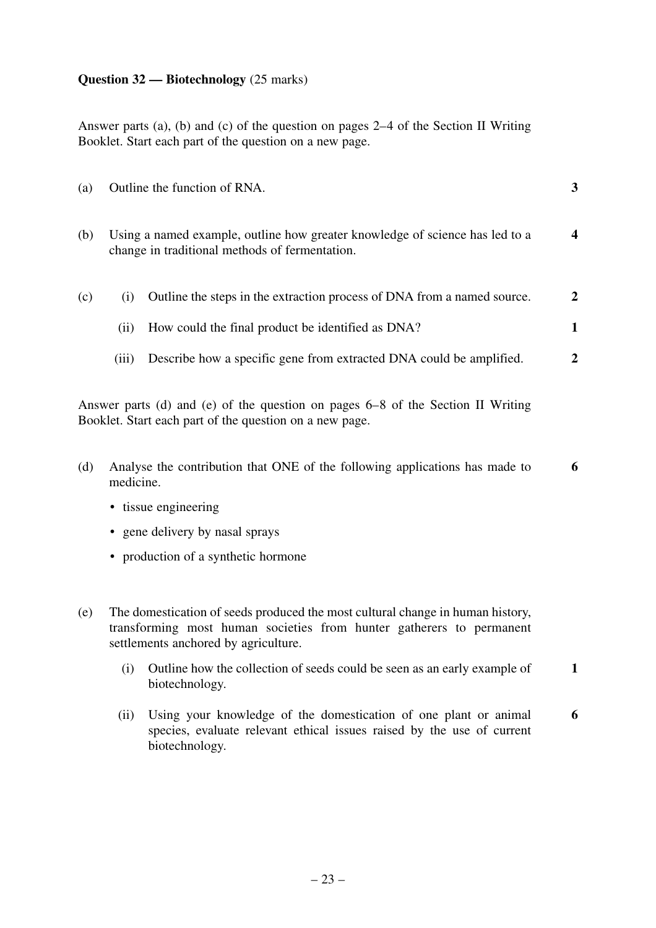# **Question 32 — Biotechnology** (25 marks)

Answer parts (a), (b) and (c) of the question on pages 2–4 of the Section II Writing Booklet. Start each part of the question on a new page.

| (a) |                                                                                                                                                                                                | Outline the function of RNA.                                                                                                                                 | 3                |  |  |  |
|-----|------------------------------------------------------------------------------------------------------------------------------------------------------------------------------------------------|--------------------------------------------------------------------------------------------------------------------------------------------------------------|------------------|--|--|--|
| (b) |                                                                                                                                                                                                | Using a named example, outline how greater knowledge of science has led to a<br>change in traditional methods of fermentation.                               | 4                |  |  |  |
| (c) | (i)                                                                                                                                                                                            | Outline the steps in the extraction process of DNA from a named source.                                                                                      | $\overline{2}$   |  |  |  |
|     | (ii)                                                                                                                                                                                           | How could the final product be identified as DNA?                                                                                                            | $\mathbf{1}$     |  |  |  |
|     | (iii)                                                                                                                                                                                          | Describe how a specific gene from extracted DNA could be amplified.                                                                                          | $\boldsymbol{2}$ |  |  |  |
|     |                                                                                                                                                                                                | Answer parts (d) and (e) of the question on pages 6–8 of the Section II Writing<br>Booklet. Start each part of the question on a new page.                   |                  |  |  |  |
| (d) | medicine.                                                                                                                                                                                      | Analyse the contribution that ONE of the following applications has made to                                                                                  | 6                |  |  |  |
|     |                                                                                                                                                                                                | • tissue engineering                                                                                                                                         |                  |  |  |  |
|     | • gene delivery by nasal sprays                                                                                                                                                                |                                                                                                                                                              |                  |  |  |  |
|     |                                                                                                                                                                                                | • production of a synthetic hormone                                                                                                                          |                  |  |  |  |
| (e) | The domestication of seeds produced the most cultural change in human history,<br>transforming most human societies from hunter gatherers to permanent<br>settlements anchored by agriculture. |                                                                                                                                                              |                  |  |  |  |
|     | (i)                                                                                                                                                                                            | Outline how the collection of seeds could be seen as an early example of<br>biotechnology.                                                                   | $\mathbf{1}$     |  |  |  |
|     | (ii)                                                                                                                                                                                           | Using your knowledge of the domestication of one plant or animal<br>species, evaluate relevant ethical issues raised by the use of current<br>biotechnology. | 6                |  |  |  |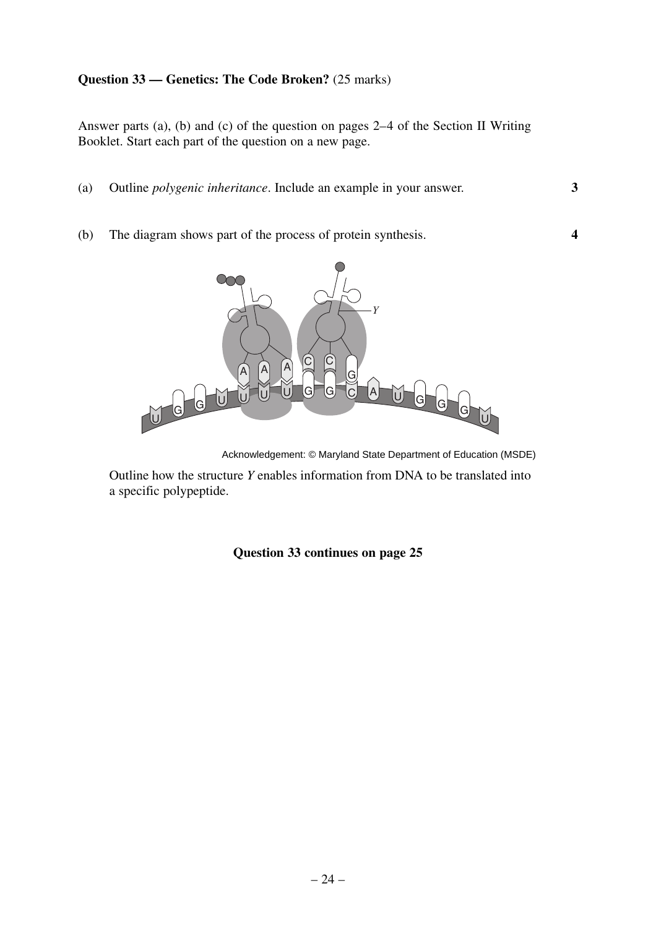# **Question 33 — Genetics: The Code Broken?** (25 marks)

Answer parts (a), (b) and (c) of the question on pages 2–4 of the Section II Writing Booklet. Start each part of the question on a new page.

- (a) Outline *polygenic inheritance*. Include an example in your answer. **3**
- (b) The diagram shows part of the process of protein synthesis. **4**



Acknowledgement: © Maryland State Department of Education (MSDE)

Outline how the structure *Y* enables information from DNA to be translated into a specific polypeptide.

**Question 33 continues on page 25**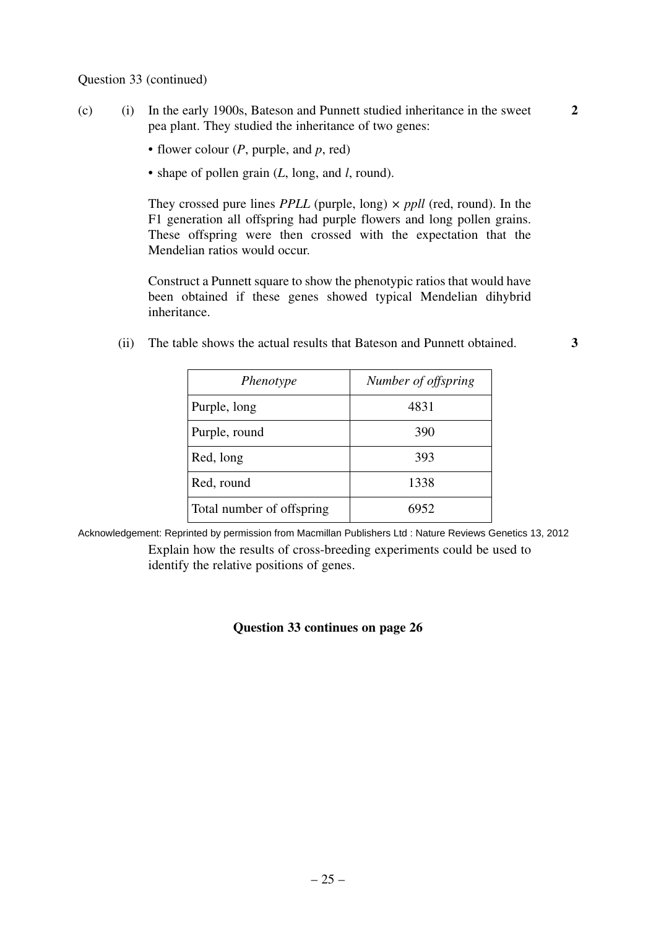Question 33 (continued)

- (c) (i) In the early 1900s, Bateson and Punnett studied inheritance in the sweet pea plant. They studied the inheritance of two genes:
	- flower colour (*P*, purple, and *p*, red)
	- shape of pollen grain (*L*, long, and *l*, round).

They crossed pure lines *PPLL* (purple, long) *× ppll* (red, round). In the F1 generation all offspring had purple flowers and long pollen grains. These offspring were then crossed with the expectation that the Mendelian ratios would occur.

Construct a Punnett square to show the phenotypic ratios that would have been obtained if these genes showed typical Mendelian dihybrid inheritance.

| Phenotype                 | Number of offspring |
|---------------------------|---------------------|
| Purple, long              | 4831                |
| Purple, round             | 390                 |
| Red, long                 | 393                 |
| Red, round                | 1338                |
| Total number of offspring | 6952                |

(ii) The table shows the actual results that Bateson and Punnett obtained. **3** 

Explain how the results of cross-breeding experiments could be used to identify the relative positions of genes. Acknowledgement: Reprinted by permission from Macmillan Publishers Ltd : Nature Reviews Genetics 13, 2012

#### **Question 33 continues on page 26**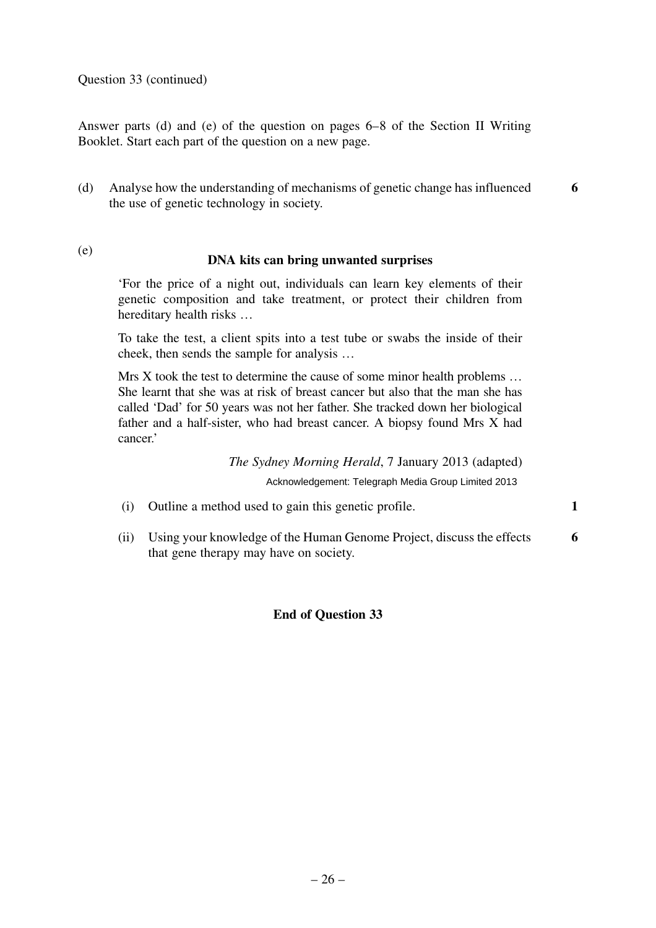Question 33 (continued)

Answer parts (d) and (e) of the question on pages 6–8 of the Section II Writing Booklet. Start each part of the question on a new page.

(d) Analyse how the understanding of mechanisms of genetic change has influenced the use of genetic technology in society.

# (e) **DNA kits can bring unwanted surprises**

'For the price of a night out, individuals can learn key elements of their genetic composition and take treatment, or protect their children from hereditary health risks …

To take the test, a client spits into a test tube or swabs the inside of their cheek, then sends the sample for analysis …

Mrs X took the test to determine the cause of some minor health problems ... She learnt that she was at risk of breast cancer but also that the man she has called 'Dad' for 50 years was not her father. She tracked down her biological father and a half-sister, who had breast cancer. A biopsy found Mrs X had cancer.'

> *The Sydney Morning Herald*, 7 January 2013 (adapted) Acknowledgement: Telegraph Media Group Limited 2013

**6** 

- (i) Outline a method used to gain this genetic profile. **1**
- (ii) Using your knowledge of the Human Genome Project, discuss the effects that gene therapy may have on society. **6**

**End of Question 33**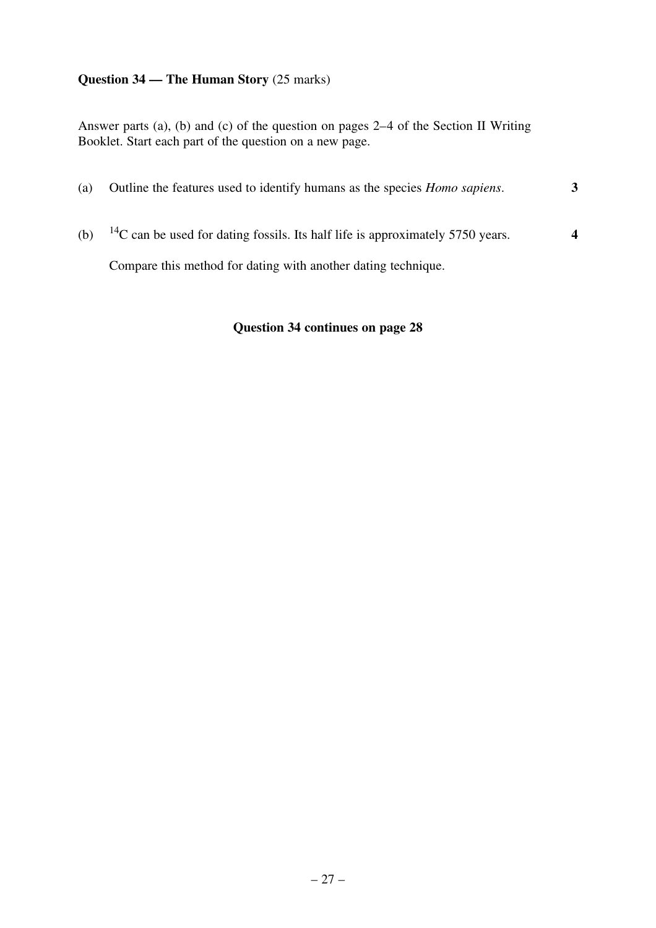# **Question 34 — The Human Story** (25 marks)

Answer parts (a), (b) and (c) of the question on pages 2–4 of the Section II Writing Booklet. Start each part of the question on a new page.

| (a) | Outline the features used to identify humans as the species <i>Homo sapiens</i> .          | 3 |
|-----|--------------------------------------------------------------------------------------------|---|
| (b) | <sup>14</sup> C can be used for dating fossils. Its half life is approximately 5750 years. | 4 |
|     | Compare this method for dating with another dating technique.                              |   |

# **Question 34 continues on page 28**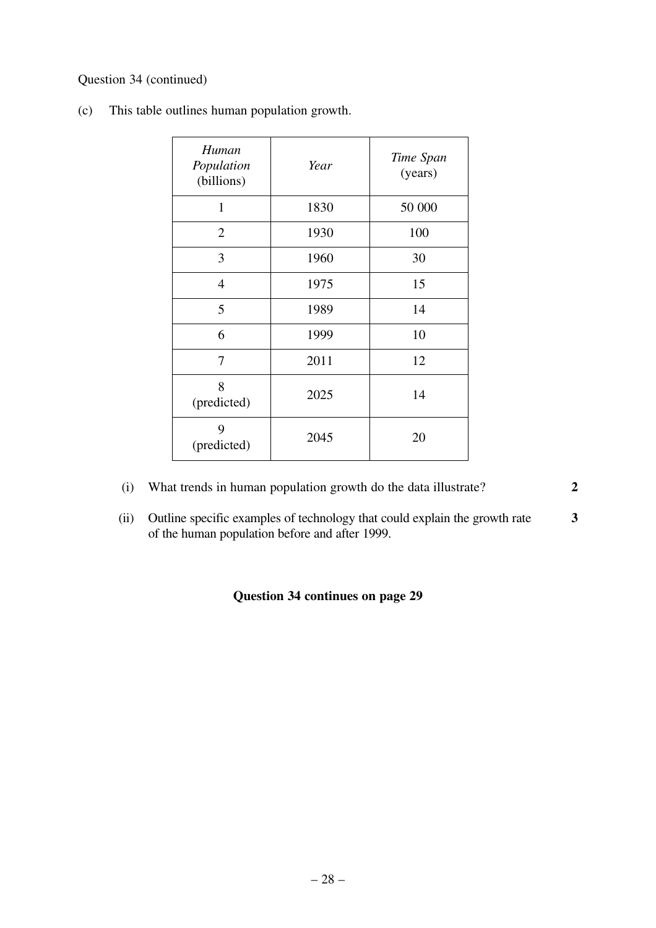Question 34 (continued)

| Human<br>Population<br>(billions) | Year | Time Span<br>(years) |
|-----------------------------------|------|----------------------|
| $\mathbf{1}$                      | 1830 | 50 000               |
| $\overline{2}$                    | 1930 | 100                  |
| 3                                 | 1960 | 30                   |
| $\overline{4}$                    | 1975 | 15                   |
| 5                                 | 1989 | 14                   |
| 6                                 | 1999 | 10                   |
| 7                                 | 2011 | 12                   |
| 8<br>(predicted)                  | 2025 | 14                   |
| 9<br>(predicted)                  | 2045 | 20                   |

(c) This table outlines human population growth.

- (i) What trends in human population growth do the data illustrate? **2**
- (ii) Outline specific examples of technology that could explain the growth rate of the human population before and after 1999. **3**

**Question 34 continues on page 29**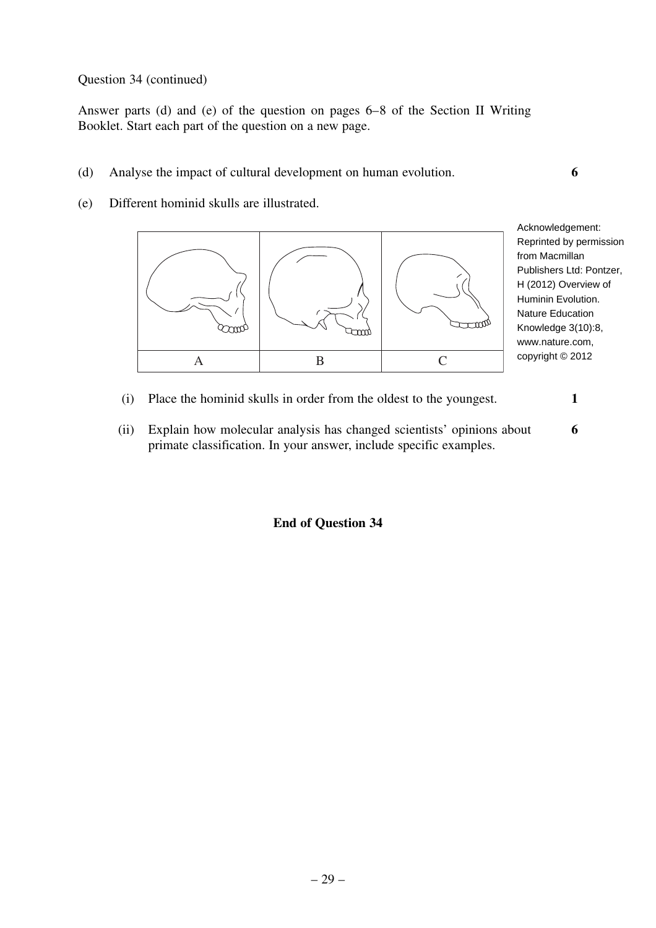Question 34 (continued)

Answer parts (d) and (e) of the question on pages 6–8 of the Section II Writing Booklet. Start each part of the question on a new page.

- (d) Analyse the impact of cultural development on human evolution.
- (e) Different hominid skulls are illustrated.



Acknowledgement: Reprinted by permission from Macmillan Publishers Ltd: Pontzer, H (2012) Overview of Huminin Evolution. Nature Education Knowledge 3(10):8, www.nature.com, copyright © 2012

**6** 

- (i) Place the hominid skulls in order from the oldest to the youngest. 1
- (ii) Explain how molecular analysis has changed scientists' opinions about **6** primate classification. In your answer, include specific examples.

# **End of Question 34**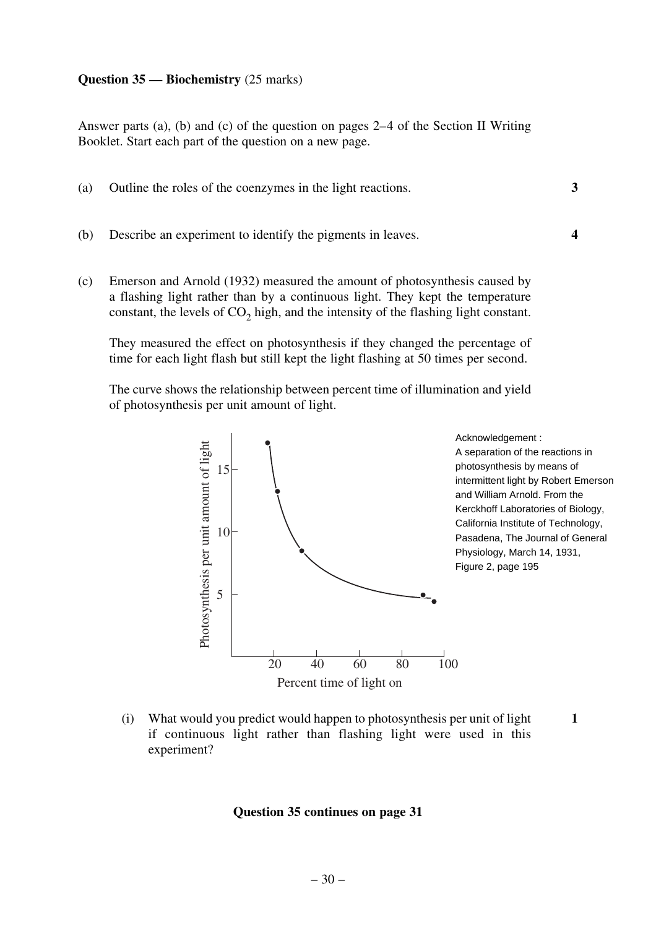#### **Question 35 — Biochemistry** (25 marks)

Answer parts (a), (b) and (c) of the question on pages 2–4 of the Section II Writing Booklet. Start each part of the question on a new page.

| (a) | Outline the roles of the coenzymes in the light reactions. |  |
|-----|------------------------------------------------------------|--|
| (b) | Describe an experiment to identify the pigments in leaves. |  |

(c) Emerson and Arnold (1932) measured the amount of photosynthesis caused by a flashing light rather than by a continuous light. They kept the temperature constant, the levels of  $CO<sub>2</sub>$  high, and the intensity of the flashing light constant.

They measured the effect on photosynthesis if they changed the percentage of time for each light flash but still kept the light flashing at 50 times per second.

The curve shows the relationship between percent time of illumination and yield of photosynthesis per unit amount of light.



(i) What would you predict would happen to photosynthesis per unit of light if continuous light rather than flashing light were used in this experiment? **1** 

#### **Question 35 continues on page 31**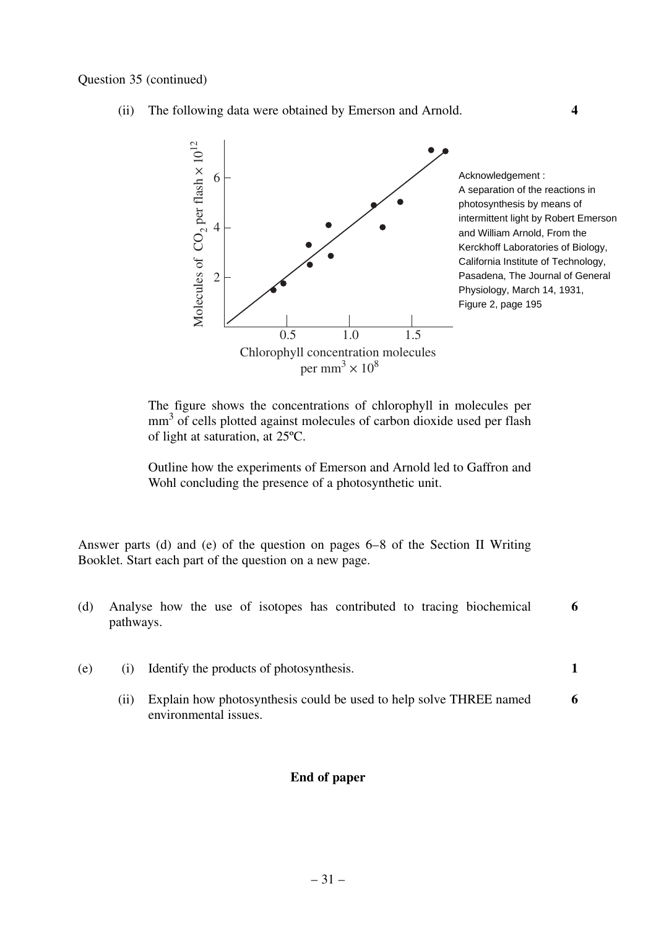(ii) The following data were obtained by Emerson and Arnold.



The figure shows the concentrations of chlorophyll in molecules per mm<sup>3</sup> of cells plotted against molecules of carbon dioxide used per flash of light at saturation, at 25ºC.

Outline how the experiments of Emerson and Arnold led to Gaffron and Wohl concluding the presence of a photosynthetic unit.

Answer parts (d) and (e) of the question on pages 6–8 of the Section II Writing Booklet. Start each part of the question on a new page.

- (d) Analyse how the use of isotopes has contributed to tracing biochemical pathways. **6**
- (e) (i) Identify the products of photosynthesis. **1**  (ii) Explain how photosynthesis could be used to help solve THREE named **6**  environmental issues.

#### **End of paper**